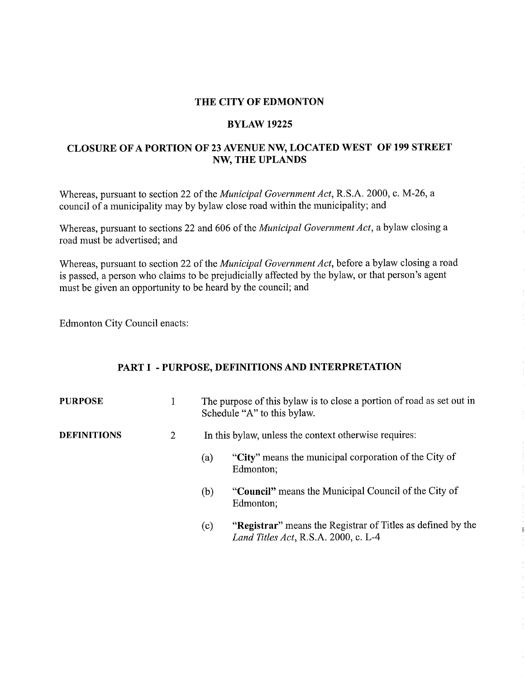#### THE CITY OF EDMONTON

#### BYLAW 19225

## CLOSURE OF A PORTION OF 23 AVENUE NW, LOCATED WEST OF 199 STREET NW, THE UPLANDS

Whereas, pursuant to section 22 of the *Municipal Government Act,* R.S.A. 2000, c. M-26, a council of a municipality may by bylaw close road within the municipality; and

Whereas, pursuant to sections 22 and 606 of the *Municipal Government Act,* a bylaw closing a road must be advertised; and

Whereas, pursuant to section 22 of the *Municipal Government Act,* before a bylaw closing a road is passed, a person who claims to be prejudicially affected by the bylaw, or that person's agent must be given an opportunity to be heard by the council; and

Edmonton City Council enacts:

#### PART I - PURPOSE, DEFINITIONS AND INTERPRETATION

| <b>PURPOSE</b>     |   | The purpose of this bylaw is to close a portion of road as set out in<br>Schedule "A" to this bylaw. |                                                                                                     |
|--------------------|---|------------------------------------------------------------------------------------------------------|-----------------------------------------------------------------------------------------------------|
| <b>DEFINITIONS</b> | 2 | In this bylaw, unless the context otherwise requires:                                                |                                                                                                     |
|                    |   | (a)                                                                                                  | "City" means the municipal corporation of the City of<br>Edmonton;                                  |
|                    |   | (b)                                                                                                  | "Council" means the Municipal Council of the City of<br>Edmonton;                                   |
|                    |   | (c)                                                                                                  | "Registrar" means the Registrar of Titles as defined by the<br>Land Titles Act, R.S.A. 2000, c. L-4 |

ł.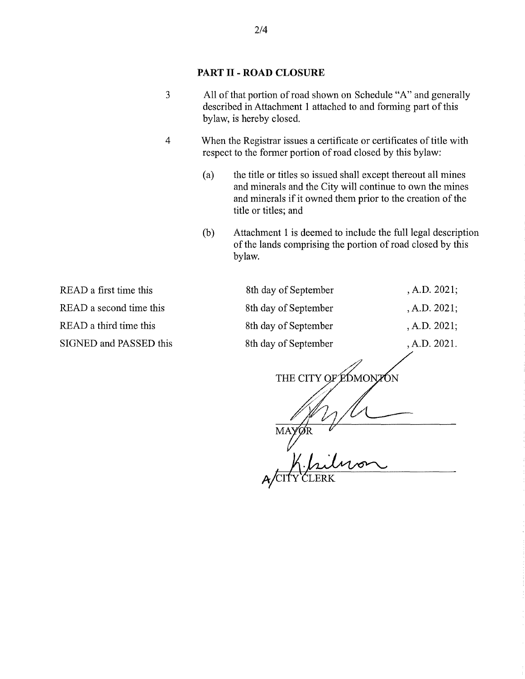### PART II - ROAD CLOSURE

- 3 All of that portion of road shown on Schedule "A" and generally described in Attachment 1 attached to and forming part of this bylaw, is hereby closed.
- 4 When the Registrar issues a certificate or certificates of title with respect to the former portion of road closed by this bylaw:
	- (a) the title or titles so issued shall except thereout all mines and minerals and the City will continue to own the mines and minerals if it owned them prior to the creation of the title or titles; and
	- (b) Attachment 1 is deemed to include the full legal description of the lands comprising the portion of road closed by this bylaw.

READ a first time this 8th day of September , A.D. 2021; READ a second time this 8th day of September , A.D. 2021; READ a third time this 8th day of September , A.D. 2021; SIGNED and PASSED this 8th day of September , A.D. 2021. THE CITY OF EDMONZON

ACITY CLERK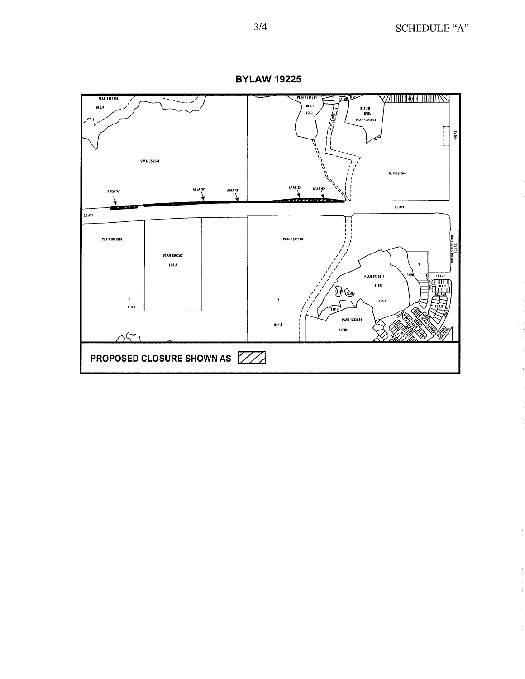

**BYLAW 19225**